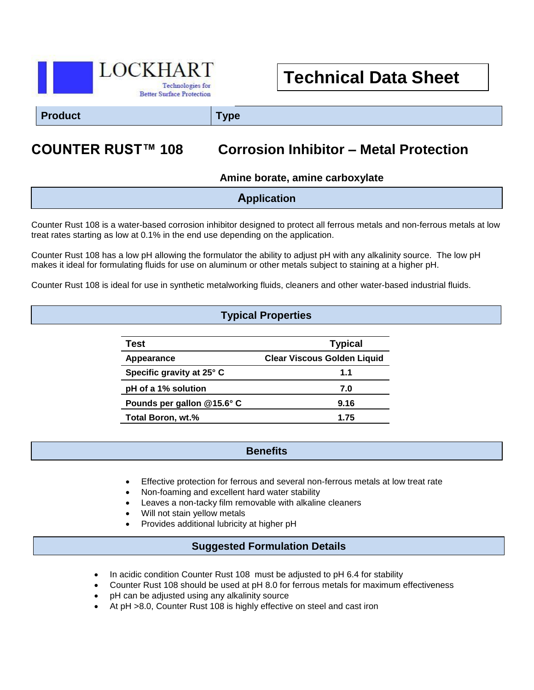

# **Technical Data Sheet**

**Product Type**

## **COUNTER RUST™ 108 Corrosion Inhibitor – Metal Protection**

**Amine borate, amine carboxylate**

|  | <b>Application</b> |
|--|--------------------|
|--|--------------------|

Counter Rust 108 is a water-based corrosion inhibitor designed to protect all ferrous metals and non-ferrous metals at low treat rates starting as low at 0.1% in the end use depending on the application.

Counter Rust 108 has a low pH allowing the formulator the ability to adjust pH with any alkalinity source. The low pH makes it ideal for formulating fluids for use on aluminum or other metals subject to staining at a higher pH.

Counter Rust 108 is ideal for use in synthetic metalworking fluids, cleaners and other water-based industrial fluids.

#### **Typical Properties**

| Test                       | <b>Typical</b>                     |
|----------------------------|------------------------------------|
| Appearance                 | <b>Clear Viscous Golden Liquid</b> |
| Specific gravity at 25° C  | 1.1                                |
| pH of a 1% solution        | 7.0                                |
| Pounds per gallon @15.6° C | 9.16                               |
| Total Boron, wt.%          | 1.75                               |

#### **Benefits**

- Effective protection for ferrous and several non-ferrous metals at low treat rate
- Non-foaming and excellent hard water stability

- Leaves a non-tacky film removable with alkaline cleaners
- Will not stain yellow metals
- Provides additional lubricity at higher pH

#### **Suggested Formulation Details**

- In acidic condition Counter Rust 108 must be adjusted to pH 6.4 for stability
- Counter Rust 108 should be used at pH 8.0 for ferrous metals for maximum effectiveness
- pH can be adjusted using any alkalinity source
- At pH >8.0, Counter Rust 108 is highly effective on steel and cast iron